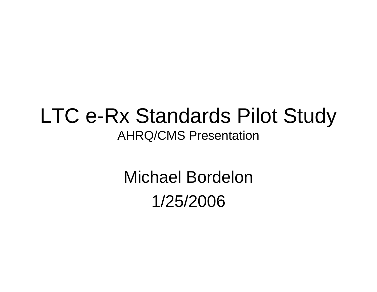#### LTC e-Rx Standards Pilot Study AHRQ/CMS Presentation

Michael Bordelon1/25/2006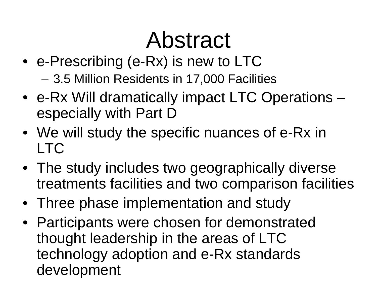#### Abstract

• e-Prescribing (e-Rx) is new to LTC 3.5 Million Residents in 17,000 Facilities

–

- e-Rx Will dramatically impact LTC Operations especially with Part D
- We will study the specific nuances of e-Rx in LTC
- The study includes two geographically diverse treatments facilities and two comparison facilities
- Three phase implementation and study
- Participants were chosen for demonstrated thought leadership in the areas of LTC technology adoption and e-Rx standards development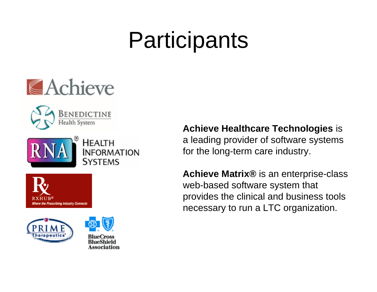











HEALTH

SYSTEMS

**INFORMATION** 

**Achieve Healthcare Technologies** is a leading provider of software systems for the long-term care industry.

**Achieve Matrix®** is an enterprise-class web-based software system that provides the clinical and business tools necessary to run a LTC organization.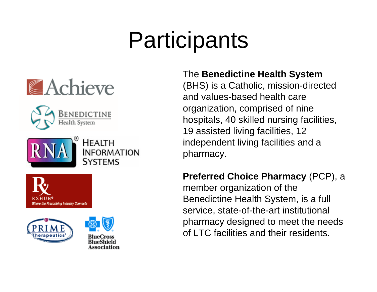











#### The **Benedictine Health System**

(BHS) is a Catholic, mission-directed and values-based health care organization, comprised of nine hospitals, 40 skilled nursing facilities, 19 assisted living facilities, 12 independent living facilities and a pharmacy.

#### **Preferred Choice Pharmacy** (PCP), a

member organization of the Benedictine Health System, is a full service, state-of-the-art institutional pharmacy designed to meet the needs of LTC facilities and their residents.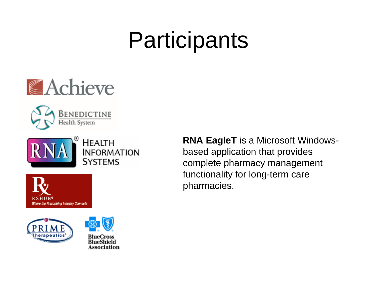











**RNA EagleT** is a Microsoft Windowsbased application that provides complete pharmacy management functionality for long-term care pharmacies.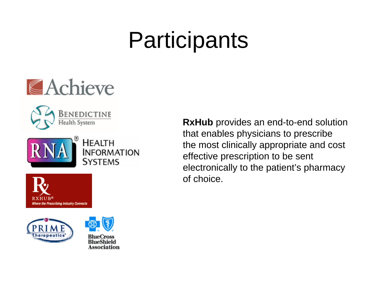





Where the Prescribing Industry Connects





SYSTEMS

**RxHub** provides an end-to-end solution that enables physicians to prescribe the most clinically appropriate and cost effective prescription to be sent electronically to the patient's pharmacy of choice.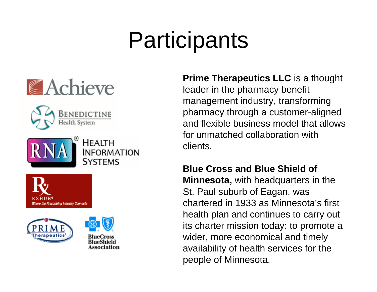











**Prime Therapeutics LLC** is a thought leader in the pharmacy benefit management industry, transforming pharmacy through a customer-aligned and flexible business model that allows for unmatched collaboration with clients.

**Blue Cross and Blue Shield of** 

**Minnesota,** with headquarters in the St. Paul suburb of Eagan, was chartered in 1933 as Minnesota's first health plan and continues to carry out its charter mission today: to promote a wider, more economical and timely availability of health services for the people of Minnesota.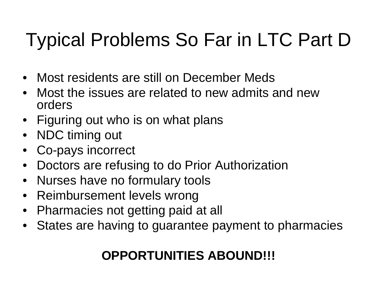#### Typical Problems So Far in LTC Part D

- Most residents are still on December Meds
- • Most the issues are related to new admits and new orders
- Figuring out who is on what plans
- NDC timing out
- Co-pays incorrect
- Doctors are refusing to do Prior Authorization
- Nurses have no formulary tools
- Reimbursement levels wrong
- Pharmacies not getting paid at all
- States are having to guarantee payment to pharmacies

#### **OPPORTUNITIES ABOUND!!!**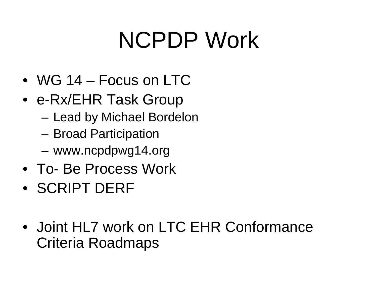## NCPDP Work

- WG 14 Focus on LTC
- e-Rx/EHR Task Group
	- –Lead by Michael Bordelon
	- –Broad Participation
	- –www.ncpdpwg14.org
- To- Be Process Work
- SCRIPT DERF
- Joint HL7 work on LTC EHR Conformance Criteria Roadmaps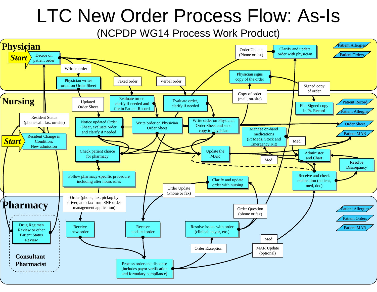#### LTC New Order Process Flow: As-Is

(NCPDP WG14 Process Work Product)

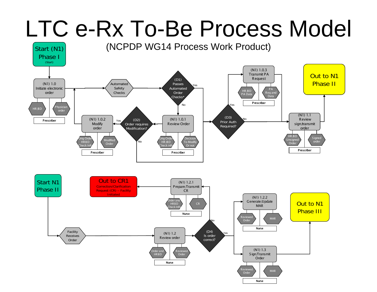### LTC e-Rx To-Be Process Model

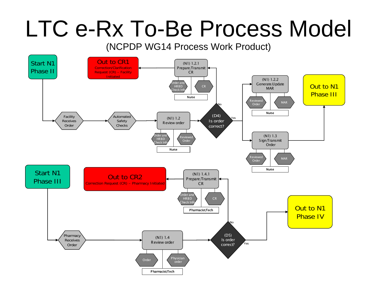#### LTC e-Rx To-Be Process Model

(NCPDP WG14 Process Work Product)

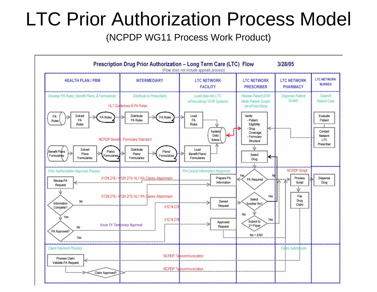#### LTC Prior Authorization Process Model

(NCPDP WG11 Process Work Product)

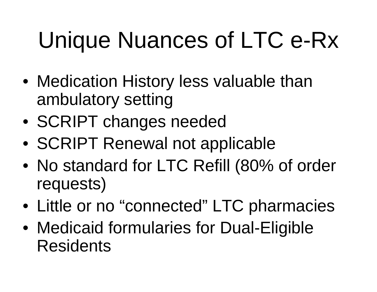# Unique Nuances of LTC e-Rx

- Medication History less valuable than ambulatory setting
- SCRIPT changes needed
- SCRIPT Renewal not applicable
- No standard for LTC Refill (80% of order requests)
- Little or no "connected" LTC pharmacies
- Medicaid formularies for Dual-Eligible **Residents**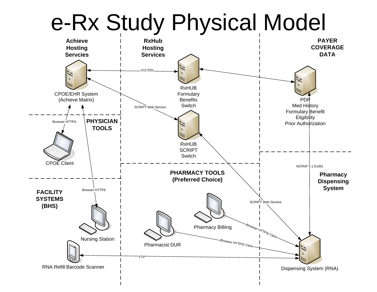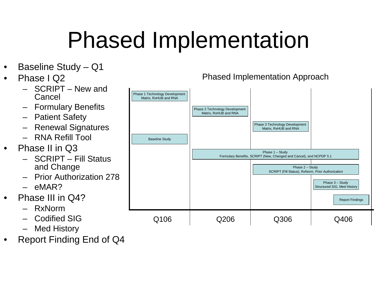# Phased Implementation

- $\bullet$ Baseline Study – Q1
- $\bullet$  Phase I Q2
	- SCRIPT New and Cancel
	- Formulary Benefits
	- Patient Safety
	- Renewal Signatures
	- RNA Refill Tool
- • Phase II in Q3
	- SCRIPT Fill Status and Change
	- –Prior Authorization 278
	- eMAR?
- • Phase III in Q4?
	- RxNorm
	- Codified SIG
	- Med History
- •Report Finding End of Q4



Phased Implementation Approach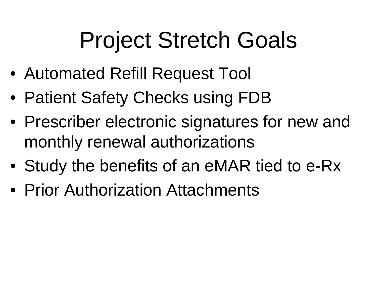### Project Stretch Goals

- Automated Refill Request Tool
- Patient Safety Checks using FDB
- Prescriber electronic signatures for new and monthly renewal authorizations
- Study the benefits of an eMAR tied to e-Rx
- Prior Authorization Attachments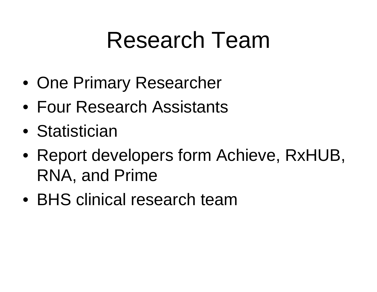#### Research Team

- One Primary Researcher
- Four Research Assistants
- Statistician
- Report developers form Achieve, RxHUB, RNA, and Prime
- BHS clinical research team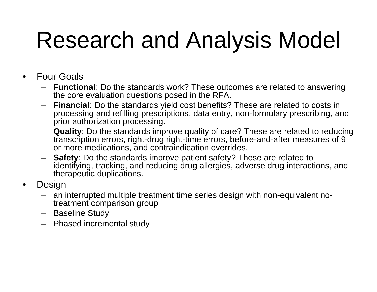## Research and Analysis Model

- $\bullet$  Four Goals
	- **Functional**: Do the standards work? These outcomes are related to answering the core evaluation questions posed in the RFA.
	- **Financial**: Do the standards yield cost benefits? These are related to costs in processing and refilling prescriptions, data entry, non-formulary prescribing, and prior authorization processing.
	- **Quality**: Do the standards improve quality of care? These are related to reducing transcription errors, right-drug right-time errors, before-and-after measures of 9 or more medications, and contraindication overrides.
	- **Safety**: Do the standards improve patient safety? These are related to identifying, tracking, and reducing drug allergies, adverse drug interactions, and therapeutic duplications.
- • Design
	- an interrupted multiple treatment time series design with non-equivalent notreatment comparison group
	- Baseline Study
	- Phased incremental study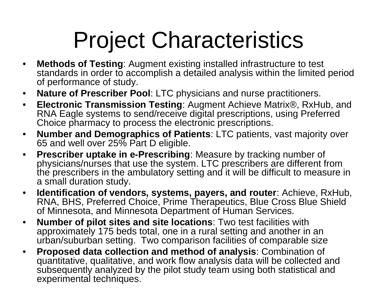# Project Characteristics

- $\bullet$  **Methods of Testing**: Augment existing installed infrastructure to test standards in order to accomplish a detailed analysis within the limited period of performance of study.
- $\bullet$ **Nature of Prescriber Pool**: LTC physicians and nurse practitioners.
- $\bullet$  **Electronic Transmission Testing**: Augment Achieve Matrix®, RxHub, and RNA Eagle systems to send/receive digital prescriptions, using Preferred Choice pharmacy to process the electronic prescriptions.
- $\bullet$  **Number and Demographics of Patients**: LTC patients, vast majority over 65 and well over 25% Part D eligible.
- $\bullet$  **Prescriber uptake in e-Prescribing**: Measure by tracking number of physicians/nurses that use the system. LTC prescribers are different from the prescribers in the ambulatory setting and it will be difficult to measure in a small duration study.
- $\bullet$  **Identification of vendors, systems, payers, and router**: Achieve, RxHub, RNA, BHS, Preferred Choice, Prime Therapeutics, Blue Cross Blue Shield of Minnesota, and Minnesota Department of Human Services.
- $\bullet$  **Number of pilot sites and site locations**: Two test facilities with approximately 175 beds total, one in a rural setting and another in an urban/suburban setting. Two comparison facilities of comparable size
- $\bullet$  **Proposed data collection and method of analysis**: Combination of quantitative, qualitative, and work flow analysis data will be collected and subsequently analyzed by the pilot study team using both statistical and experimental techniques.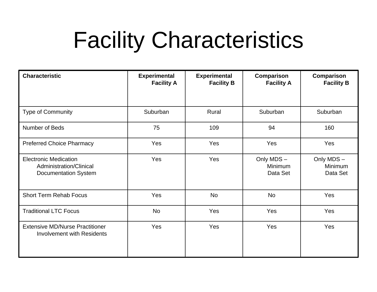#### Facility Characteristics

| <b>Characteristic</b>                                                                  | <b>Experimental</b><br><b>Facility A</b> | <b>Experimental</b><br><b>Facility B</b> | Comparison<br><b>Facility A</b>  | <b>Comparison</b><br><b>Facility B</b> |
|----------------------------------------------------------------------------------------|------------------------------------------|------------------------------------------|----------------------------------|----------------------------------------|
|                                                                                        |                                          |                                          |                                  |                                        |
| Type of Community                                                                      | Suburban                                 | Rural                                    | Suburban                         | Suburban                               |
| Number of Beds                                                                         | 75                                       | 109                                      | 94                               | 160                                    |
| <b>Preferred Choice Pharmacy</b>                                                       | Yes                                      | Yes                                      | Yes                              | Yes                                    |
| <b>Electronic Medication</b><br>Administration/Clinical<br><b>Documentation System</b> | Yes                                      | Yes                                      | Only MDS-<br>Minimum<br>Data Set | Only MDS-<br>Minimum<br>Data Set       |
| <b>Short Term Rehab Focus</b>                                                          | Yes                                      | <b>No</b>                                | <b>No</b>                        | Yes                                    |
| <b>Traditional LTC Focus</b>                                                           | <b>No</b>                                | Yes                                      | Yes                              | Yes                                    |
| <b>Extensive MD/Nurse Practitioner</b><br><b>Involvement with Residents</b>            | Yes                                      | Yes                                      | Yes                              | Yes                                    |